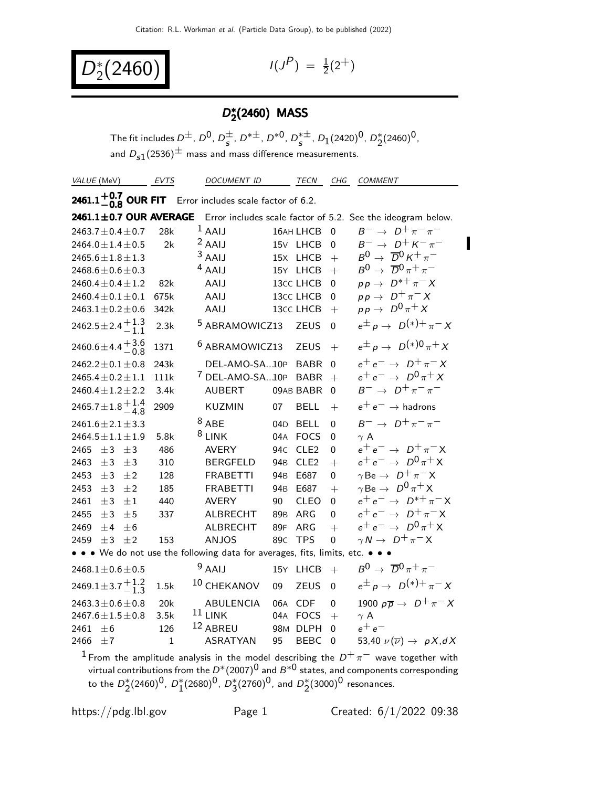$D_2^*(2460)$  <sup>I(J</sup>

 $P$ ) =  $\frac{1}{2}(2^{+})$ 

### D<sup>∗</sup>  $_{2}^{\ast}$ (2460) MASS

The fit includes  $D^{\pm}$ ,  $D^{0}$ ,  $D^{\pm}$  $\frac{\pm}{s}$ , D<sup>\* $\pm$ </sup>, D<sup>\*0</sup>, D<sup>\* $\pm$ </sup>  $_s^{*\pm}$ ,  $D_1(2420)^0$ ,  $D_2^*(2460)^0$ , and  $D_{s1}(2536)^{\pm}$  mass and mass difference measurements.

| VALUE (MeV)                                                               | <b>EVTS</b>  | <b>DOCUMENT ID</b>              | <b>TECN</b>                         | CHG            | <b>COMMENT</b>                                                |
|---------------------------------------------------------------------------|--------------|---------------------------------|-------------------------------------|----------------|---------------------------------------------------------------|
| <b>2461.1<sup>+0.7</sup> OUR FIT</b> Error includes scale factor of 6.2.  |              |                                 |                                     |                |                                                               |
| 2461.1 $\pm$ 0.7 OUR AVERAGE                                              |              |                                 |                                     |                | Error includes scale factor of 5.2. See the ideogram below.   |
| 2463.7 $\pm$ 0.4 $\pm$ 0.7                                                | 28k          | $1$ AAIJ                        | 16AH LHCB                           | $\overline{0}$ | $B^ \rightarrow$ $D^+\pi^-\pi^-$                              |
| 2464.0 $\pm$ 1.4 $\pm$ 0.5                                                | 2k           | $2$ AAIJ                        | 15V LHCB                            | 0              | $B^ \rightarrow$ $D^+$ $K^ \pi^-$                             |
| $2465.6 \pm 1.8 \pm 1.3$                                                  |              | $3$ AAIJ                        | 15X LHCB                            | $+$            | $B^0 \rightarrow \overline{D}{}^0 K^+ \pi^-$                  |
| 2468.6 $\pm$ 0.6 $\pm$ 0.3                                                |              | $4$ AAIJ                        | 15Y LHCB                            | $+$            | $B^0 \rightarrow \overline{D}{}^0 \pi^+ \pi^-$                |
| 2460.4 $\pm$ 0.4 $\pm$ 1.2                                                | 82k          | AAIJ                            | 13cc LHCB                           | 0              | $pp \rightarrow D^{*+} \pi^- X$                               |
| 2460.4 $\pm$ 0.1 $\pm$ 0.1                                                | 675k         | AAIJ                            | 13cc LHCB                           | 0              | $pp \rightarrow D^+\pi^- X$                                   |
| $2463.1 \pm 0.2 \pm 0.6$                                                  | 342k         | AAIJ                            | 13cc LHCB                           | $+$            | $pp \rightarrow D^0 \pi^+ X$                                  |
| 2462.5 ± 2.4 $^{+1.3}_{-1.1}$                                             | 2.3k         | <sup>5</sup> ABRAMOWICZ13       | <b>ZEUS</b>                         | $\Omega$       | $e^{\pm} p \rightarrow D^{(*)+} \pi^- X$                      |
| $2460.6 \pm 4.4 + 3.6$<br>0.8                                             | 1371         | <sup>6</sup> ABRAMOWICZ13       | <b>ZEUS</b>                         | $+$            | $e^{\pm} p \rightarrow D^{(*)0} \pi^+ X$                      |
| $2462.2 \pm 0.1 \pm 0.8$                                                  | 243k         | DEL-AMO-SA10P BABR              |                                     | $\Omega$       | $e^+e^- \rightarrow D^+\pi^-X$                                |
| $2465.4 \pm 0.2 \pm 1.1$                                                  | 111k         | <sup>7</sup> DEL-AMO-SA10P BABR |                                     | $\ddot{+}$     | $e^+e^- \rightarrow D^0\pi^+X$                                |
| $2460.4 \pm 1.2 \pm 2.2$                                                  | 3.4k         | <b>AUBERT</b>                   | 09AB BABR                           | $\Omega$       | $B^ \rightarrow$ $D^+\pi^-\pi^-$                              |
| $2465.7 \pm 1.8 \begin{array}{c} +1.4 \\ -4.8 \end{array}$                | 2909         | KUZMIN                          | <b>BELL</b><br>07                   | $+$            | $e^+e^- \rightarrow$ hadrons                                  |
| 2461.6 $\pm$ 2.1 $\pm$ 3.3                                                |              | $8$ ABE                         | 04 <sub>D</sub><br><b>BELL</b>      | 0              | $B^ \rightarrow$ $D^+\pi^-\pi^-$                              |
| $2464.5 \pm 1.1 \pm 1.9$                                                  | 5.8k         | $8$ LINK                        | 04A<br><b>FOCS</b>                  | 0              | $\gamma$ A                                                    |
| 2465<br>$\pm$ 3<br>$\pm 3$                                                | 486          | <b>AVERY</b>                    | 94 <sub>C</sub><br>CLE <sub>2</sub> | 0              | $e^+e^- \rightarrow D^+\pi^-X$                                |
| 2463<br>±3<br>$\pm 3$                                                     | 310          | <b>BERGFELD</b>                 | 94 <sub>B</sub><br>CLE <sub>2</sub> | $+$            | $e^+e^- \rightarrow D^0\pi^+X$                                |
| 2453<br>±2<br>±3                                                          | 128          | <b>FRABETTI</b>                 | 94 <sub>B</sub><br>E687             | 0              | $\gamma$ Be $\rightarrow$ D <sup>+</sup> $\pi$ <sup>-</sup> X |
| 2453<br>$\pm$ 3<br>±2                                                     | 185          | <b>FRABETTI</b>                 | E687<br>94 <sub>B</sub>             | $+$            | $\gamma$ Be $\rightarrow$ $D^0 \pi^+ X$                       |
| $\pm 1$<br>2461<br>±3                                                     | 440          | <b>AVERY</b>                    | 90<br><b>CLEO</b>                   | 0              | $e^+e^- \rightarrow D^{*+}\pi^-X$                             |
| ±3<br>±5<br>2455                                                          | 337          | <b>ALBRECHT</b>                 | 89 <sub>B</sub><br>ARG              | 0              | $e^+e^- \rightarrow D^+\pi^-X$                                |
| 2469<br>±4<br>$+6$                                                        |              | <b>ALBRECHT</b>                 | 89F<br>ARG                          | $+$            | $e^+e^- \rightarrow D^0\pi^+X$                                |
| 2459<br>$\pm$ 3<br>±2                                                     | 153          | <b>ANJOS</b>                    | 89 <sub>C</sub><br><b>TPS</b>       | 0              | $\gamma N \to D^+\pi^- X$                                     |
| • • • We do not use the following data for averages, fits, limits, etc. • |              |                                 |                                     |                | $\bullet$                                                     |
| $2468.1 \pm 0.6 \pm 0.5$                                                  |              | $9$ AAIJ                        | 15Y<br><b>LHCB</b>                  | $+$            | $B^0 \rightarrow \overline{D}{}^0 \pi^+ \pi^-$                |
| 2469.1 $\pm$ 3.7 $^{+1.2}_{-1.3}$                                         | 1.5k         | <sup>10</sup> CHEKANOV          | 09<br><b>ZEUS</b>                   | $\Omega$       | $e^{\pm} p \rightarrow D^{(*)+} \pi^- X$                      |
| 2463.3 $\pm$ 0.6 $\pm$ 0.8                                                | 20k          | <b>ABULENCIA</b>                | 06A<br><b>CDF</b>                   | 0              | 1900 $p\overline{p} \rightarrow D^+\pi^- X$                   |
| 2467.6 $\pm$ 1.5 $\pm$ 0.8                                                | 3.5k         | $11$ LINK                       | 04A<br><b>FOCS</b>                  | $+$            | $\gamma$ A                                                    |
| 2461<br>±6                                                                | 126          | 12 ABREU                        | <b>DLPH</b><br>98M                  | 0              | $e^+e^-$                                                      |
| ±7<br>2466                                                                | $\mathbf{1}$ | <b>ASRATYAN</b>                 | <b>BEBC</b><br>95                   | 0              | 53,40 $\nu(\overline{\nu}) \rightarrow pX, dX$                |

 $^1$  From the amplitude analysis in the model describing the  $D^+\,\pi^-$  wave together with virtual contributions from the  $D^*(2007)^0$  and  $B^{*0}$  states, and components corresponding to the  $D_2^*(2460)^0$ ,  $D_1^*(2680)^0$ ,  $D_3^*(2760)^0$ , and  $D_2^*(3000)^0$  resonances.

https://pdg.lbl.gov Page 1 Created: 6/1/2022 09:38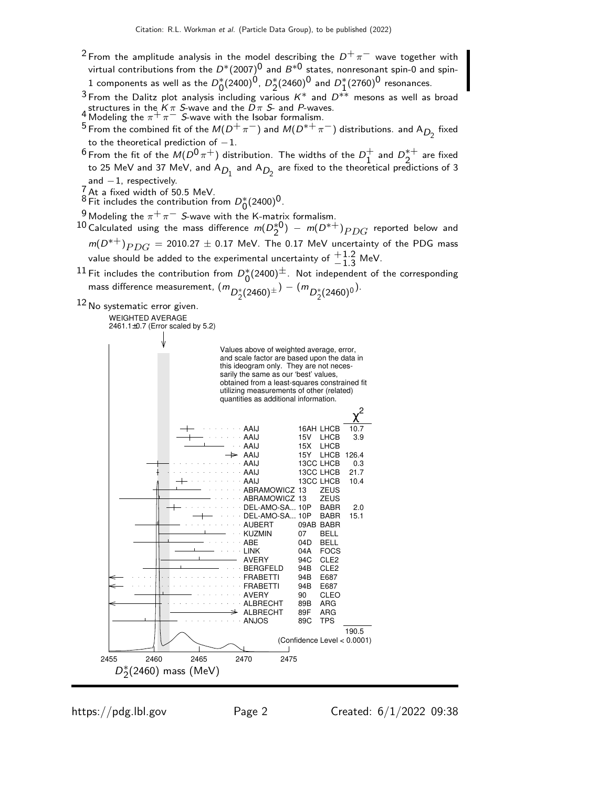- <sup>2</sup> From the amplitude analysis in the model describing the  $D^+\pi^-$  wave together with virtual contributions from the  $D^*(2007)^0$  and  $B^{*0}$  states, nonresonant spin-0 and spin- $1$  components as well as the  $D_0^*(2400)^{\hat{0}}$ ,  $D_2^*(2460)^{\hat{0}}$  and  $D_1^*(2760)^{\hat{0}}$  resonances.
- 3 From the Dalitz plot analysis including various  $K^*$  and  $D^{**}$  mesons as well as broad 4 structures in the K π S-wave and the D π S- and P-waves.<br>- Modeling the π<sup>+</sup> π<sup>−</sup> S-wave with the Isobar formalism.
- 
- 5 From the combined fit of the  $M(D^+\pi^-)$  and  $M(D^{*+}\pi^-)$  distributions. and A<sub>D<sub>2</sub></sub> fixed to the theoretical prediction of  $-1$ .
- $^6$  From the fit of the  $M(D^0 \pi^+)$  distribution. The widths of the  $D_1^+$  $\frac{1}{1}$  and  $D_2^{*+}$  $2^{\ast +}$  are fixed to 25 MeV and 37 MeV, and A $_{D_1}$  and A $_{D_2}$  are fixed to the theoretical predictions of 3  $and -1$ , respectively.
- 
- 7 At a fixed width of 50.5 MeV.<br><sup>8</sup> Fit includes the contribution from  $D_0^*(2400)^0$ .
- 9 Modeling the  $\pi^+\pi^-$  S-wave with the K-matrix formalism.

10 Calculated using the mass difference  $m(D_2^{*0}) - m(D^{*+})$   $PDG$  reported below and  $m(D^{*+})$  $_{PDG}$  = 2010.27  $\pm$  0.17 MeV. The 0.17 MeV uncertainty of the PDG mass value should be added to the experimental uncertainty of  $\frac{+1.2}{-1.3}$  MeV.

11 Fit includes the contribution from  $D_0^*(2400)$  Not independent of the corresponding mass difference measurement,  $(m_{D_2^*(2460)^{\pm}}) - (m_{D_2^*(2460)^{0}})$ .

12 No systematic error given.

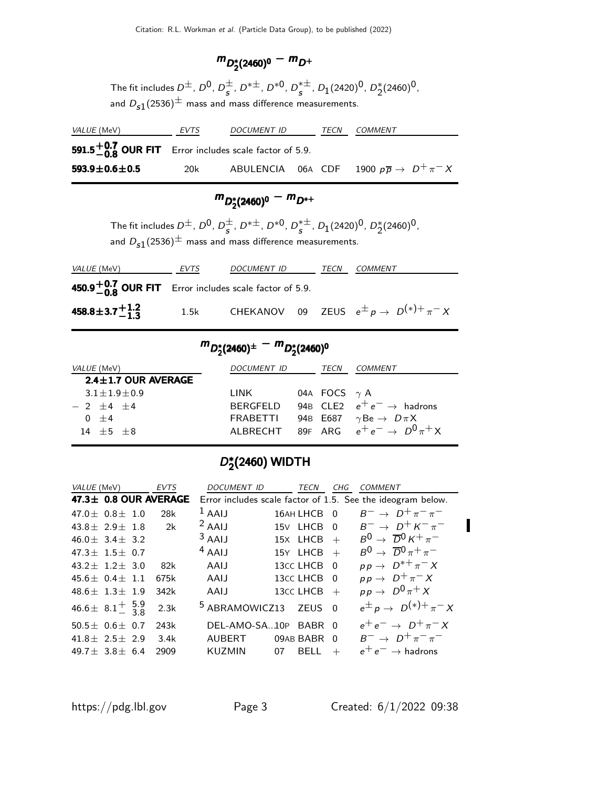## $m_{D_2^*(2460)^0} - m_{D^+}$

The fit includes  $D^{\pm}$ ,  $D^{0}$ ,  $D^{\pm}$  $\frac{\pm}{s}$ , D<sup>\* $\pm$ </sup>, D<sup>\*0</sup>, D<sup>\* $\pm$ </sup>  $_s^{*\pm}$ ,  $D_1(2420)^0$ ,  $D_2^*(2460)^0$ , and  $D_{s1}(2536)^{\pm}$  mass and mass difference measurements.

| <i>VALUE</i> (MeV)                                       | EVTS | DOCUMENT ID | TECN | <i>COMMENT</i>                                                |
|----------------------------------------------------------|------|-------------|------|---------------------------------------------------------------|
| 591.5 $+0.7$ OUR FIT Error includes scale factor of 5.9. |      |             |      |                                                               |
| 593.9 $\pm$ 0.6 $\pm$ 0.5                                | 20k  |             |      | ABULENCIA 06A CDF 1900 $p\overline{p} \rightarrow D^+\pi^- X$ |

# $m_{D_2^*(2460)^0} - m_{D^{*+}}$

The fit includes  $D^{\pm}$ ,  $D^{0}$ ,  $D^{\pm}$  $\frac{\pm}{s}$ , D<sup>\* $\pm$ </sup>, D<sup>\*0</sup>, D<sup>\* $\pm$ </sup>  $_s^{*\pm}$ ,  $D_1(2420)^0$ ,  $D_2^*(2460)^0$ , and  $D_{s1}(2536)^{\pm}$  mass and mass difference measurements.

| <i>VALUE</i> (MeV)                                             | EVTS | DOCUMENT ID                                               | <b>TECN</b> | <i>COMMENT</i> |  |
|----------------------------------------------------------------|------|-----------------------------------------------------------|-------------|----------------|--|
| <b>450.9 - 0.7 OUR FIT</b> Error includes scale factor of 5.9. |      |                                                           |             |                |  |
| 458.8 ± 3.7 $^{+1.2}_{-1.3}$                                   | 1.5k | CHEKANOV 09 ZEUS $e^{\pm} p \rightarrow D^{(*)+} \pi^- X$ |             |                |  |

## $m_{D_2^*(2460)^{\pm}} - m_{D_2^*(2460)^{0}}$

| VALUE (MeV)               | <i>DOCUMENT ID</i> | TECN                | COMMENT                                         |
|---------------------------|--------------------|---------------------|-------------------------------------------------|
| $2.4 \pm 1.7$ OUR AVERAGE |                    |                     |                                                 |
| $3.1 + 1.9 + 0.9$         | LINK               | 04A FOCS $\gamma$ A |                                                 |
| $-2+4+4$                  | BERGEELD           |                     | 94B CLE2 $e^+e^- \rightarrow$ hadrons           |
| $0 + 4$                   | FRABETTI           |                     | 94B E687 $\gamma$ Be $\rightarrow$ D $\pi$ X    |
| $14 + 5 + 8$              |                    |                     | ALBRECHT 89F ARG $e^+e^- \rightarrow D^0\pi^+X$ |

### D\*  $_{2}^{\ast}$ (2460) WIDTH

| VALUE (MeV)                                 | EVTS | DOCUMENT ID               | TECN              | CHG            | <i>COMMENT</i>                                              |
|---------------------------------------------|------|---------------------------|-------------------|----------------|-------------------------------------------------------------|
| 47.3± 0.8 OUR AVERAGE                       |      |                           |                   |                | Error includes scale factor of 1.5. See the ideogram below. |
| $47.0 + 0.8 + 1.0$                          | 28k  | $1$ AAIJ                  | 16AH LHCB         | $\Omega$       | $B^ \rightarrow$ $D^+\pi^-\pi^-$                            |
| 43.8 $\pm$ 2.9 $\pm$ 1.8                    | 2k   | $2$ AAIJ                  | 15V LHCB          | $\Omega$       | $B^ \rightarrow$ $D^+$ $K^ \pi^-$                           |
| $46.0 \pm 3.4 \pm 3.2$                      |      | $3$ AAIJ                  | 15X LHCB          | $+$            | $B^0 \rightarrow \overline{D}{}^0 K^+ \pi^-$                |
| 47.3 $\pm$ 1.5 $\pm$ 0.7                    |      | $4$ AAIJ                  | 15Y LHCB          | $+$            | $B^0 \rightarrow \overline{D}{}^0 \pi^+ \pi^-$              |
| $43.2 + 1.2 + 3.0$                          | 82k  | AAIJ                      | 13CC LHCB         | $\Omega$       | $pp \rightarrow D^{*+} \pi^- X$                             |
| $45.6 + 0.4 + 1.1$                          | 675k | AAIJ                      | 13CC LHCB         | $\overline{0}$ | $pp \rightarrow D^+\pi^- X$                                 |
| $48.6 + 1.3 + 1.9$                          | 342k | AAIJ                      | 13CC LHCB         | $+$            | $pp \rightarrow D^0 \pi^+ X$                                |
| 46.6 ± $8.1^{+}_{-}$ $\frac{5.9}{3.8}$ 2.3k |      | <sup>5</sup> ABRAMOWICZ13 | <b>ZEUS</b>       | $\Omega$       | $e^{\pm} p \rightarrow D^{(*)+} \pi^- X$                    |
| $50.5 \pm 0.6 \pm 0.7$                      | 243k | DEL-AMO-SA10P             | BABR 0            |                | $e^+e^- \rightarrow D^+\pi^-X$                              |
| $41.8 \pm 2.5 \pm 2.9$                      | 3.4k | <b>AUBERT</b>             | 09AB BABR         | $\Omega$       | $B^ \rightarrow$ $D^+\pi^-\pi^-$                            |
| $49.7 + 3.8 + 6.4$                          | 2909 | <b>KUZMIN</b>             | 07<br><b>BELL</b> | $+$            | $e^+e^- \rightarrow$ hadrons                                |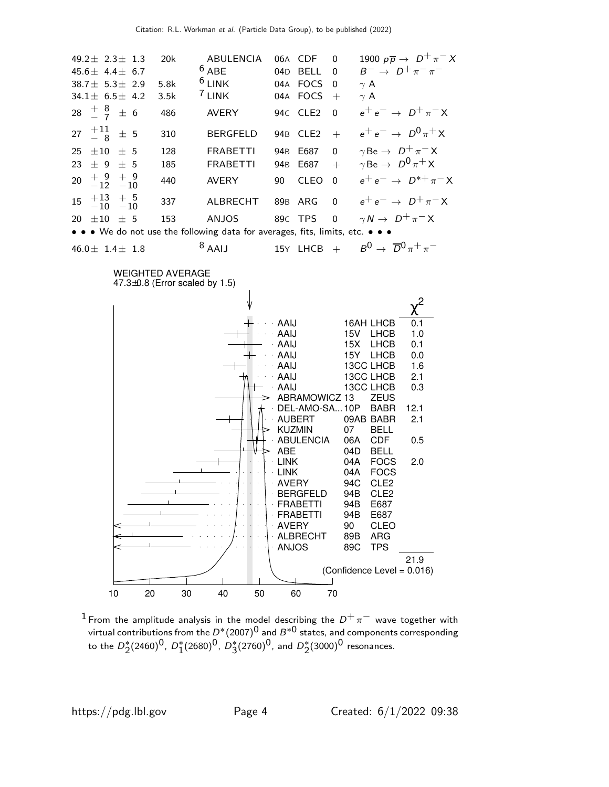

 $^1$  From the amplitude analysis in the model describing the  $D^+\,\pi^-$  wave together with virtual contributions from the  $D^*(2007)^0$  and  $B^{*0}$  states, and components corresponding to the  $D_2^*(2460)^0$ ,  $D_1^*(2680)^0$ ,  $D_3^*(2760)^0$ , and  $D_2^*(3000)^0$  resonances.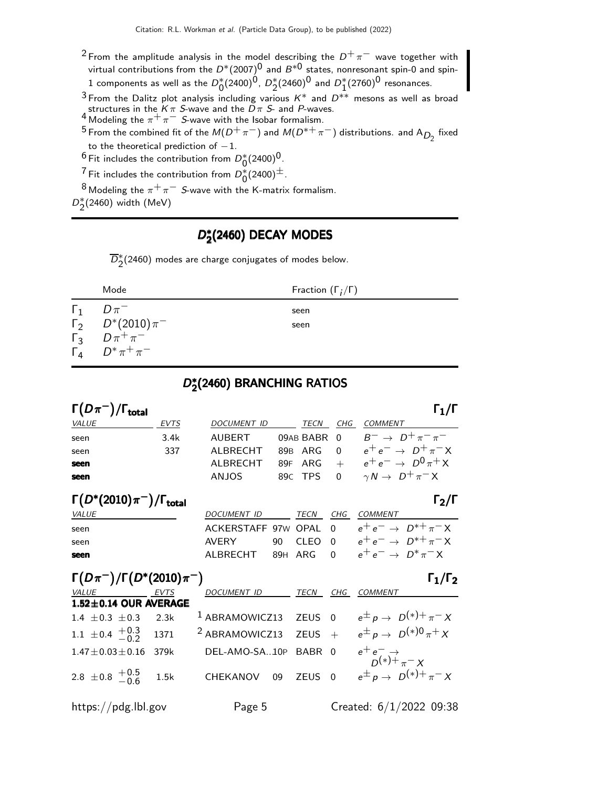- <sup>2</sup> From the amplitude analysis in the model describing the  $D^+\pi^-$  wave together with virtual contributions from the  $D^*(2007)^0$  and  $B^{*0}$  states, nonresonant spin-0 and spin- $1$  components as well as the  $D_0^*(2400)^{\hat{0}}$ ,  $D_2^*(2460)^{\hat{0}}$  and  $D_1^*(2760)^{\hat{0}}$  resonances.
- $3$  From the Dalitz plot analysis including various  $K^*$  and  $D^{**}$  mesons as well as broad structures in the K  $\pi$  S-wave and the D  $\pi$  S- and P-waves.<br><sup>4</sup> Modeling the  $\pi^+ \pi^-$  S-wave with the Isobar formalism.
- 
- 5 From the combined fit of the  $M(D^+\pi^-)$  and  $M(D^{*+}\pi^-)$  distributions. and  $A_{D_2}$  fixed to the theoretical prediction of  $-1$ .
- $^6$  Fit includes the contribution from  $D_0^*(2400)^0$ .
- <sup>7</sup> Fit includes the contribution from  $D_0^*(2400)^{\pm}$ .
- 8 Modeling the  $\pi^+\pi^-$  S-wave with the K-matrix formalism.

 $D_{2}^{*}(2460)$  width (MeV)

### D,\*  $_2^*(2460)$  DECAY MODES

 $\overline{D}_2^{*}(2460)$  modes are charge conjugates of modes below.

| Fraction $(\Gamma_i/\Gamma)$<br>Mode                                                                                                 |  |
|--------------------------------------------------------------------------------------------------------------------------------------|--|
| $\Gamma_1$<br>$D \pi^-$<br>seen<br>$\Gamma_2$ $D^*(2010)\pi^-$<br>seen<br>$\Gamma_3$ $D \pi^+ \pi^-$<br>$\Gamma_4$ $D^* \pi^+ \pi^-$ |  |

### D,<br>D,  $_2^\ast$ (2460) BRANCHING RATIOS

| $\Gamma(D\pi^-)/\Gamma_{\rm total}$ |             |                    |             |     | $\Gamma_1/\Gamma$                           |
|-------------------------------------|-------------|--------------------|-------------|-----|---------------------------------------------|
| <i>VALUE</i>                        | <b>EVTS</b> | <b>DOCUMENT ID</b> | <b>TECN</b> | CHG | COMMENT                                     |
| seen                                | 3.4k        | AUBERT             |             |     | 09AB BABR 0 $B^- \rightarrow D^+\pi^-\pi^-$ |
| seen                                | 337         | AI BRECHT          |             |     | 89B ARG 0 $e^+e^- \rightarrow D^+\pi^-X$    |
| seen                                |             | ALBRECHT           |             |     | 89F ARG + $e^+e^- \rightarrow D^0 \pi^+ X$  |
| seen                                |             | ANJOS              |             |     | 89C TPS 0 $\gamma N \rightarrow D^+\pi^- X$ |

| $\Gamma(D^*(2010)\pi^-)/\Gamma_{\rm total}$ |                                                         |           |                                          | $\Gamma_2/\Gamma$                 |
|---------------------------------------------|---------------------------------------------------------|-----------|------------------------------------------|-----------------------------------|
| <i>VALUE</i>                                | <i>DOCUMENT ID</i>                                      | TECN      | CHG COMMENT                              |                                   |
| seen                                        | ACKERSTAFF 97W OPAL 0 $e^+e^- \rightarrow D^{*+}\pi^-X$ |           |                                          |                                   |
| seen                                        | AVFRY                                                   | 90 CLEO 0 |                                          | $e^+e^- \rightarrow D^{*+}\pi^-X$ |
| seen                                        | AI BRECHT                                               |           | 89H ARG 0 $e^+e^- \rightarrow D^*\pi^-X$ |                                   |

| $\Gamma(D\pi^{-})/\Gamma(D^{*}(2010)\pi^{-})$<br>$\Gamma_1/\Gamma_2$ |      |                                  |        |     |                                           |  |  |  |
|----------------------------------------------------------------------|------|----------------------------------|--------|-----|-------------------------------------------|--|--|--|
| VALUE EVTS                                                           |      | <b>DOCUMENT ID</b>               | TECN   | CHG | COMMENT                                   |  |  |  |
| $1.52 \pm 0.14$ OUR AVERAGE                                          |      |                                  |        |     |                                           |  |  |  |
| 1.4 $\pm$ 0.3 $\pm$ 0.3 2.3k                                         |      | <sup>1</sup> ABRAMOWICZ13 ZEUS 0 |        |     | $e^{\pm} p \rightarrow D^{(*)+} \pi^- X$  |  |  |  |
| 1.1 $\pm$ 0.4 $\frac{+0.3}{-0.2}$ 1371                               |      | <sup>2</sup> ABRAMOWICZ13 ZEUS + |        |     | $e^{\pm} p \rightarrow D^{(*)0} \pi^+ X$  |  |  |  |
| $1.47 \pm 0.03 \pm 0.16$                                             | 379k | DEL-AMO-SA10P BABR 0             |        |     | $e^+e^- \rightarrow$<br>$D^{(*)+}\pi^- X$ |  |  |  |
| 2.8 ± 0.8 $^{+0.5}_{-0.6}$ 1.5k                                      |      | CHEKANOV<br>09                   | ZEUS 0 |     | $e^{\pm} p \rightarrow D^{(*)+} \pi^- X$  |  |  |  |
| https://pdg.lbl.gov                                                  |      | Page 5                           |        |     | Created: 6/1/2022 09:38                   |  |  |  |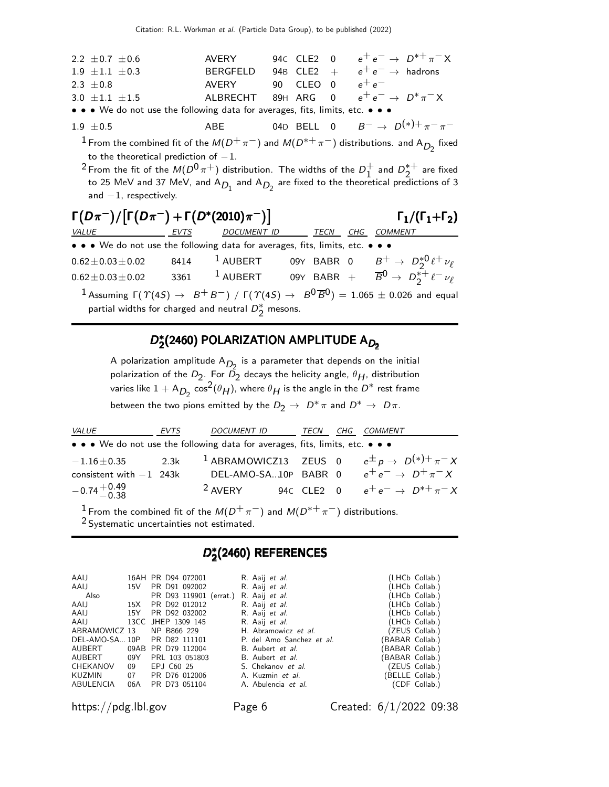| 2.2 $\pm$ 0.7 $\pm$ 0.6                                                       | AVERY    |  | 94C CLE2 0 $e^+e^- \to D^{*+}\pi^- X$             |
|-------------------------------------------------------------------------------|----------|--|---------------------------------------------------|
| $1.9 \pm 1.1 \pm 0.3$                                                         | BERGEELD |  | 94B CLE2 + $e^+e^- \rightarrow$ hadrons           |
| 2.3 $\pm$ 0.8                                                                 | AVFRY    |  | 90 CLEO 0 $e^+e^-$                                |
| 3.0 $\pm$ 1.1 $\pm$ 1.5                                                       |          |  | ALBRECHT 89H ARG 0 $e^+e^- \rightarrow D^*\pi^-X$ |
| • • • We do not use the following data for averages, fits, limits, etc. • • • |          |  |                                                   |

- 1.9 ±0.5 ABE 04D BELL 0  $B^{-} \to D^{(*)+} \pi^{-} \pi^{-}$ 
	- <sup>1</sup> From the combined fit of the  $M(D^+\pi^-)$  and  $M(D^{*+}\pi^-)$  distributions. and A<sub>D<sub>2</sub></sub> fixed to the theoretical prediction of  $-1$ .
	- $^2$  From the fit of the  $M(D^0 \pi^+)$  distribution. The widths of the  $D_1^+$  $\frac{1}{1}$  and  $D_2^{*+}$  $2^{\ast +}$  are fixed to 25 MeV and 37 MeV, and A $_{D_1}$  and A $_{D_2}$  are fixed to the theoretical predictions of 3 and  $-1$ , respectively.

| $\Gamma(D\pi^{-})/\lceil \Gamma(D\pi^{-}) + \Gamma(D^{*}(2010)\pi^{-}) \rceil$ | $\Gamma_1/(\Gamma_1+\Gamma_2)$ |                                                        |             |     |                                                                                                                                                  |
|--------------------------------------------------------------------------------|--------------------------------|--------------------------------------------------------|-------------|-----|--------------------------------------------------------------------------------------------------------------------------------------------------|
| VALUE                                                                          | <b>EVTS</b>                    | <b>DOCUMENT ID</b>                                     | <b>TECN</b> | CHG | <b>COMMENT</b>                                                                                                                                   |
| • • • We do not use the following data for averages, fits, limits, etc. • • •  |                                |                                                        |             |     |                                                                                                                                                  |
| $0.62 \pm 0.03 \pm 0.02$                                                       | 8414                           | $^1$ AUBERT                                            |             |     | 09Y BABR 0 $B^+ \to D_2^{*0} \ell^+ \nu_\ell$                                                                                                    |
| $0.62 \pm 0.03 \pm 0.02$                                                       | 3361                           |                                                        |             |     | <sup>1</sup> AUBERT 09Y BABR + $\overline{B}^0 \rightarrow D_2^{\ast+} \ell^- \nu_{\ell}$                                                        |
|                                                                                |                                | partial widths for charged and neutral $D_2^*$ mesons. |             |     | <sup>1</sup> Assuming $\Gamma(\Upsilon(45) \rightarrow B^+B^-) / \Gamma(\Upsilon(45) \rightarrow B^0\overline{B}^0) = 1.065 \pm 0.026$ and equal |

#### D,<br>D,  $D_2^*(2460)$  POLARIZATION AMPLITUDE A $_{D_2}$  $D^\ast_2$ (2460) POLARIZATION AMPLITUDE A $_{D_2}$

A polarization amplitude  $A_{D_2}$  is a parameter that depends on the initial polarization of the  $D_2$ . For  $\bar{D_2}$  decays the helicity angle,  $\theta_H$ , distribution varies like  $1 + A_{D_2} \cos^2(\theta_H)$ , where  $\theta_H$  is the angle in the  $D^*$  rest frame between the two pions emitted by the  $D_2 \to D^* \pi$  and  $D^* \to D \pi$ .

| <i>VALUE</i>                                                                  | EVTS | DOCUMENT ID        | TECN | CHG COMMENT                                                                                  |
|-------------------------------------------------------------------------------|------|--------------------|------|----------------------------------------------------------------------------------------------|
| • • • We do not use the following data for averages, fits, limits, etc. • • • |      |                    |      |                                                                                              |
|                                                                               |      |                    |      | $-1.16\pm0.35$ 2.3k <sup>1</sup> ABRAMOWICZ13 ZEUS 0 $e^{\pm} p \rightarrow D^{(*)+}\pi^- X$ |
| consistent with $-1$ 243k                                                     |      |                    |      | DEL-AMO-SA10P BABR 0 $e^+e^- \rightarrow D^+\pi^-X$                                          |
| $-0.74 + {}^{+0.49}_{-0.38}$                                                  |      | <sup>2</sup> AVERY |      | 940 CLE2 0 $e^+e^- \to D^{*+}\pi^- X$                                                        |

<sup>1</sup> From the combined fit of the  $M(D^+\pi^-)$  and  $M(D^{*+}\pi^-)$  distributions.

<sup>2</sup> Systematic uncertainties not estimated.

### D,<br>D,  $_2^*(2460)$  REFERENCES

| AAIJ<br>AAIJ |    | 16AH PR D94 072001<br>15V PR D91 092002 | R. Aaij et al.<br>R. Aaij et al. | (LHCb Collab.)<br>(LHCb Collab.) |
|--------------|----|-----------------------------------------|----------------------------------|----------------------------------|
| Also         |    | PR D93 119901 (errat.)                  | R. Aaij et al.                   | (LHCb Collab.)                   |
| AAIJ         |    | 15X PR D92 012012                       | R. Aaij et al.                   | (LHCb Collab.)                   |
|              |    | AAIJ 15Y PR D92 032002                  | R. Aaij et al.                   | (LHCb Collab.)                   |
| AAIJ         |    | 13CC JHEP 1309 145                      | R. Aaij et al.                   | (LHCb Collab.)                   |
|              |    | ABRAMOWICZ 13 NP B866 229               | H. Abramowicz et al.             | (ZEUS Collab.)                   |
|              |    | DEL-AMO-SA 10P PR D82 111101            | P. del Amo Sanchez et al.        | (BABAR Collab.)                  |
| AUBERT       |    | 09AB PR D79 112004                      | B. Aubert et al.                 | BABAR Collab.)                   |
| AUBERT 09Y   |    | PRL 103 051803                          | B. Aubert et al.                 | (BABAR Collab.)                  |
| CHEKANOV     | 09 | EPJ C60 25                              | S. Chekanov et al.               | (ZEUS Collab.)                   |
| KUZMIN       |    | 07 PR D76 012006                        | A. Kuzmin et al.                 | (BELLE Collab.)                  |
| ABULENCIA    |    | 06A PR D73 051104                       | A. Abulencia et al.              | (CDF Collab.)                    |

https://pdg.lbl.gov Page 6 Created: 6/1/2022 09:38